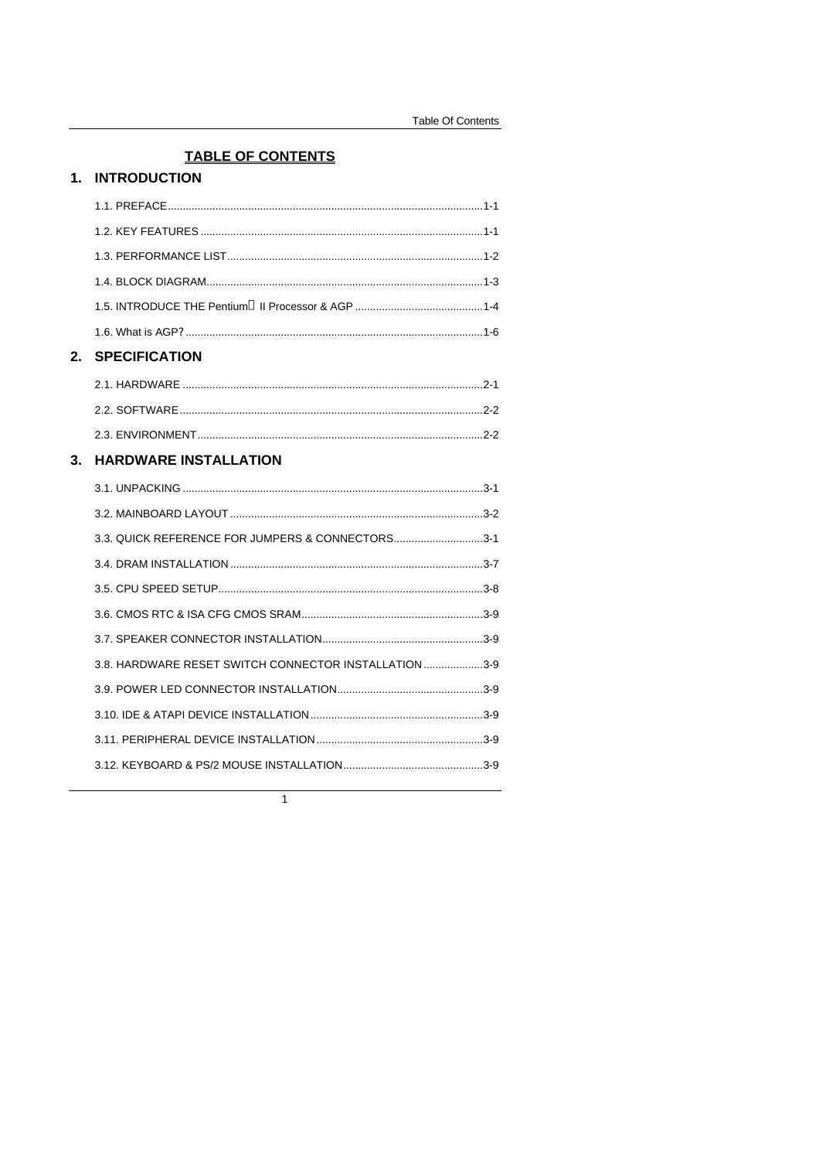# **TABLE OF CONTENTS** 1. INTRODUCTION

| 2. | <b>SPECIFICATION</b>                                  |  |
|----|-------------------------------------------------------|--|
|    |                                                       |  |
|    |                                                       |  |
|    |                                                       |  |
| 3. | <b>HARDWARE INSTALLATION</b>                          |  |
|    |                                                       |  |
|    |                                                       |  |
|    | 3.3. QUICK REFERENCE FOR JUMPERS & CONNECTORS3-1      |  |
|    |                                                       |  |
|    |                                                       |  |
|    |                                                       |  |
|    |                                                       |  |
|    | 3.8. HARDWARE RESET SWITCH CONNECTOR INSTALLATION 3-9 |  |
|    |                                                       |  |
|    |                                                       |  |
|    |                                                       |  |
|    |                                                       |  |
|    |                                                       |  |

 $\overline{1}$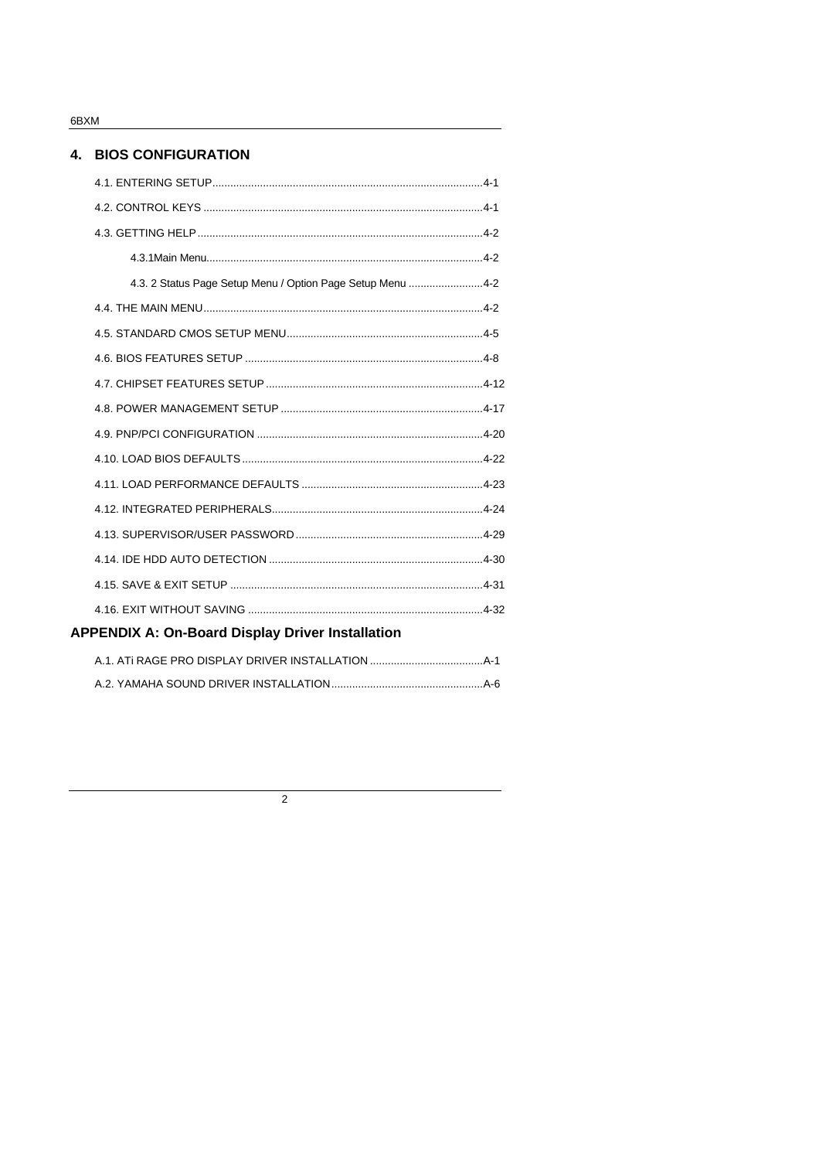6BXM

## 4. BIOS CONFIGURATION

| 4.3. 2 Status Page Setup Menu / Option Page Setup Menu 4-2 |  |
|------------------------------------------------------------|--|
|                                                            |  |
|                                                            |  |
|                                                            |  |
|                                                            |  |
|                                                            |  |
|                                                            |  |
|                                                            |  |
|                                                            |  |
|                                                            |  |
|                                                            |  |
|                                                            |  |
|                                                            |  |
|                                                            |  |
| <b>APPENDIX A: On-Board Display Driver Installation</b>    |  |

 $\overline{2}$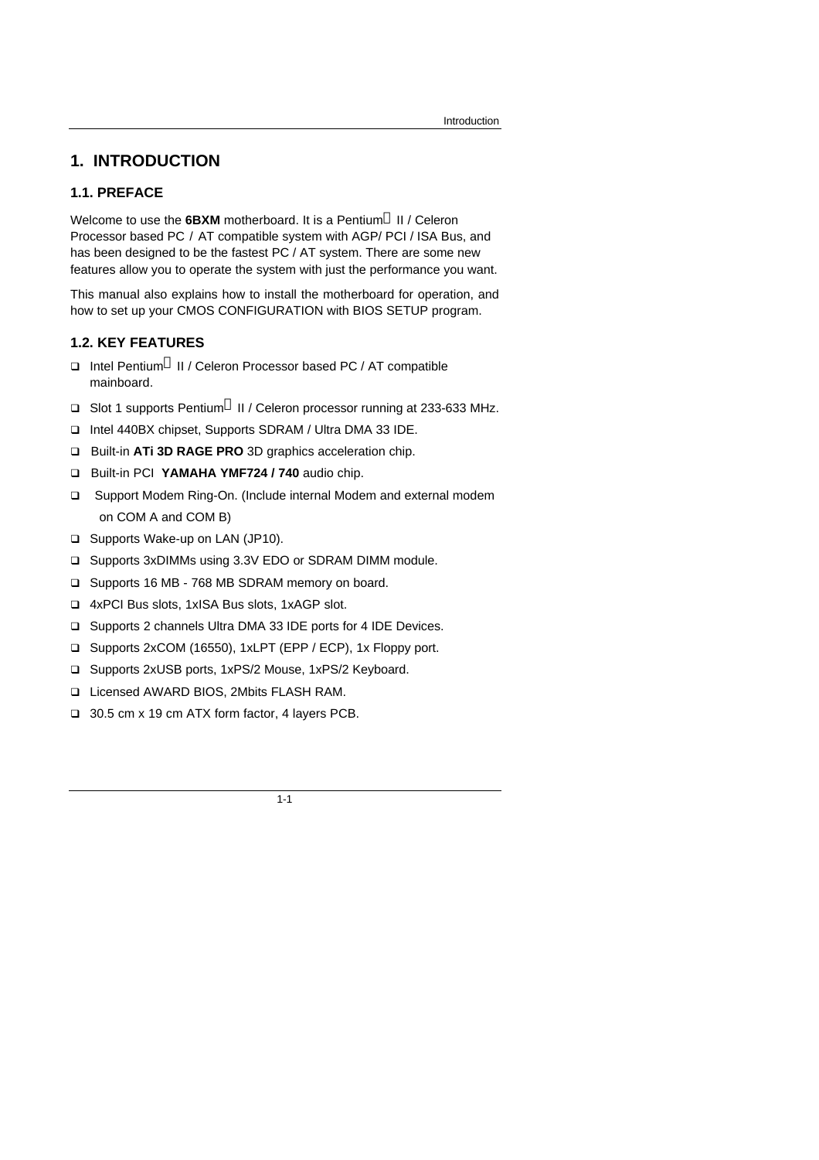# **1. INTRODUCTION**

## **1.1. PREFACE**

Welcome to use the **6BXM** motherboard. It is a Pentium<sup>®</sup> II / Celeron Processor based PC / AT compatible system with AGP/ PCI / ISA Bus, and has been designed to be the fastest PC / AT system. There are some new features allow you to operate the system with just the performance you want.

This manual also explains how to install the motherboard for operation, and how to set up your CMOS CONFIGURATION with BIOS SETUP program.

### **1.2. KEY FEATURES**

- □ Intel Pentium<sup>®</sup> II / Celeron Processor based PC / AT compatible mainboard.
- **Q** Slot 1 supports Pentium<sup>®</sup> II / Celeron processor running at 233-633 MHz.
- q Intel 440BX chipset, Supports SDRAM / Ultra DMA 33 IDE.
- q Built-in **ATi 3D RAGE PRO** 3D graphics acceleration chip.
- q Built-in PCI **YAMAHA YMF724 / 740** audio chip.
- □ Support Modem Ring-On. (Include internal Modem and external modem on COM A and COM B)
- □ Supports Wake-up on LAN (JP10).
- q Supports 3xDIMMs using 3.3V EDO or SDRAM DIMM module.
- □ Supports 16 MB 768 MB SDRAM memory on board.
- q 4xPCI Bus slots, 1xISA Bus slots, 1xAGP slot.
- q Supports 2 channels Ultra DMA 33 IDE ports for 4 IDE Devices.
- q Supports 2xCOM (16550), 1xLPT (EPP / ECP), 1x Floppy port.
- q Supports 2xUSB ports, 1xPS/2 Mouse, 1xPS/2 Keyboard.
- q Licensed AWARD BIOS, 2Mbits FLASH RAM.
- q 30.5 cm x 19 cm ATX form factor, 4 layers PCB.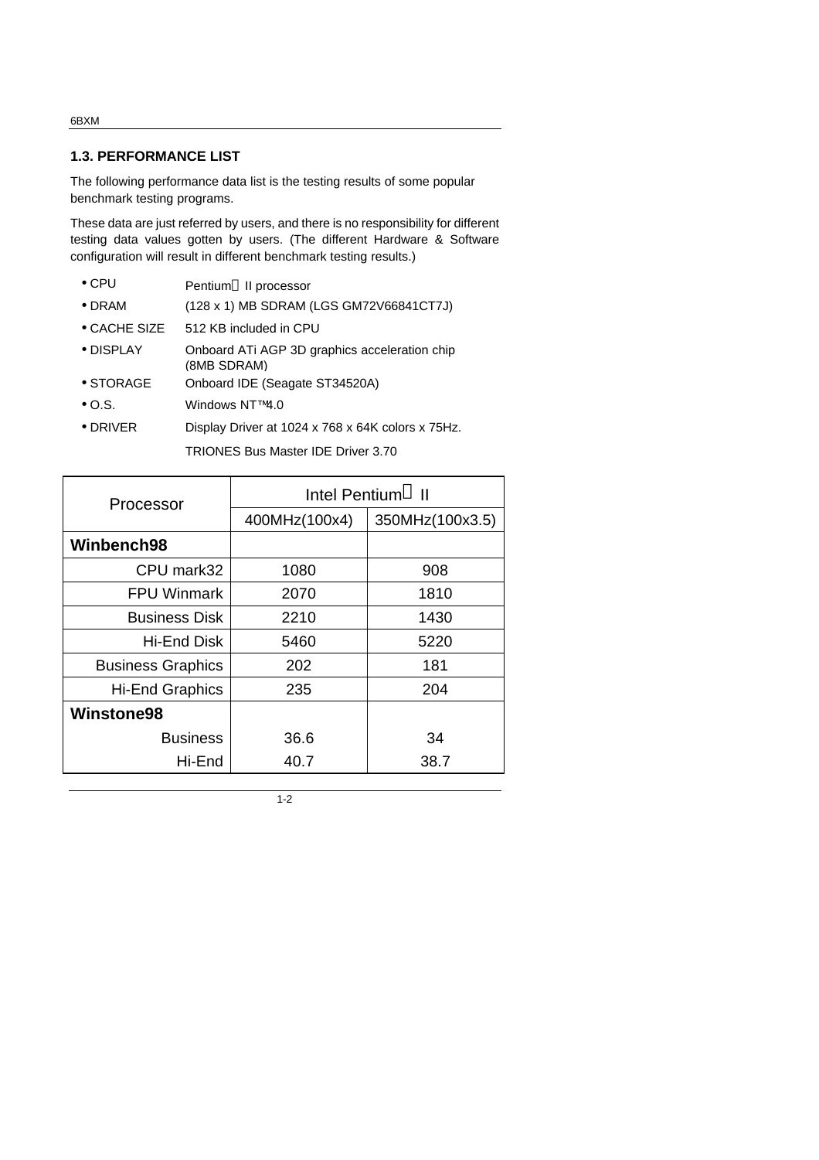### **1.3. PERFORMANCE LIST**

The following performance data list is the testing results of some popular benchmark testing programs.

These data are just referred by users, and there is no responsibility for different testing data values gotten by users. (The different Hardware & Software configuration will result in different benchmark testing results.)

- CPU Pentium<sup>®</sup> II processor
- DRAM (128 x 1) MB SDRAM (LGS GM72V66841CT7J)
- CACHE SIZE 512 KB included in CPU
- DISPLAY Onboard ATi AGP 3D graphics acceleration chip (8MB SDRAM)
- STORAGE Onboard IDE (Seagate ST34520A)
- O.S. Windows NT™4.0
- DRIVER Display Driver at 1024 x 768 x 64K colors x 75Hz.

TRIONES Bus Master IDE Driver 3.70

| Processor                | Intel Pentium <sup>®</sup> II |                 |
|--------------------------|-------------------------------|-----------------|
|                          | 400MHz(100x4)                 | 350MHz(100x3.5) |
| Winbench98               |                               |                 |
| CPU mark32               | 1080                          | 908             |
| <b>FPU Winmark</b>       | 2070                          | 1810            |
| <b>Business Disk</b>     | 2210                          | 1430            |
| Hi-End Disk              | 5460                          | 5220            |
| <b>Business Graphics</b> | 202                           | 181             |
| <b>Hi-End Graphics</b>   | 235                           | 204             |
| <b>Winstone98</b>        |                               |                 |
| <b>Business</b>          | 36.6                          | 34              |
| Hi-End                   | 40.7                          | 38.7            |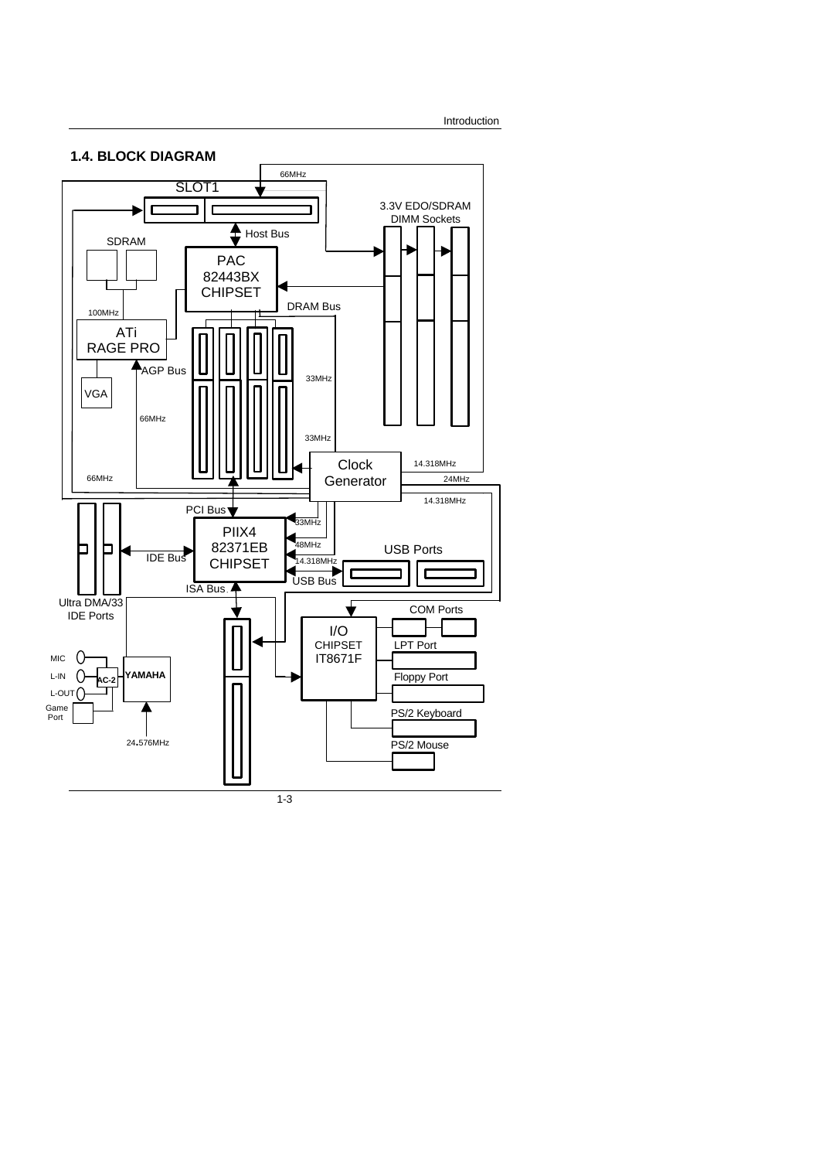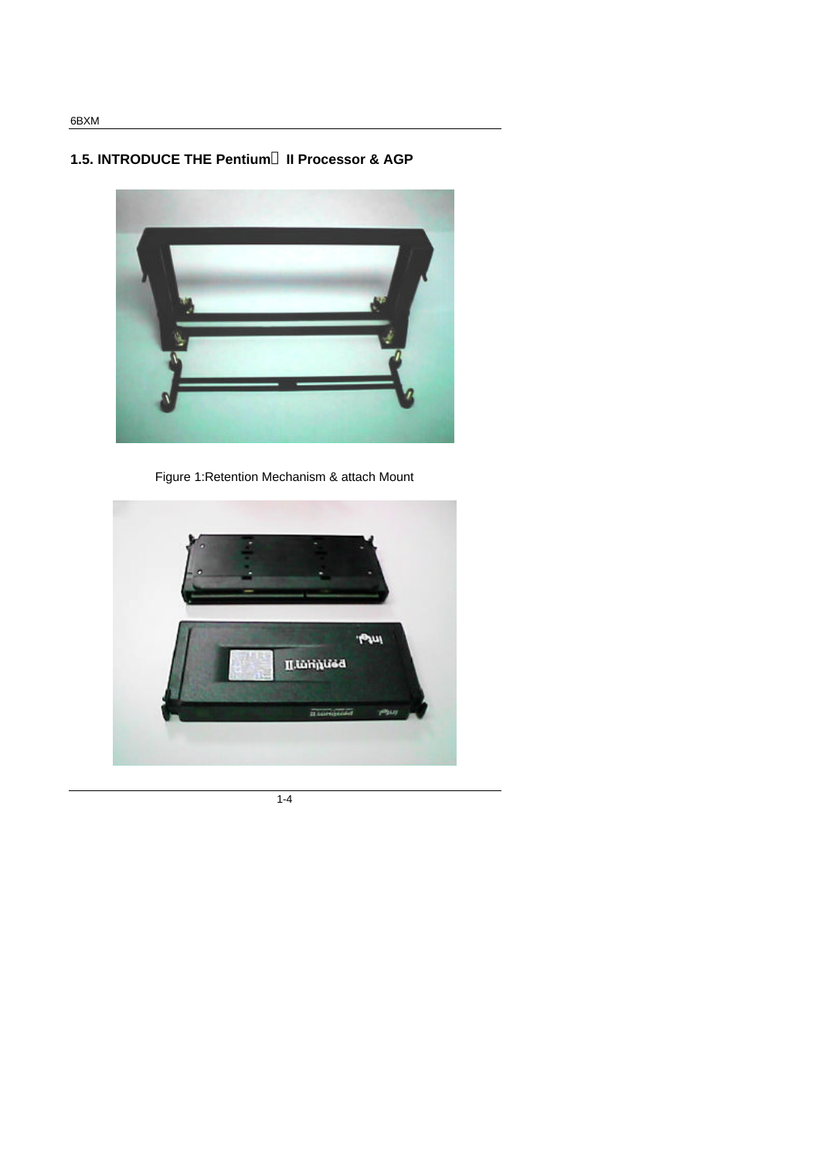# **1.5. INTRODUCE THE Pentium<sup>â</sup> II Processor & AGP**



Figure 1:Retention Mechanism & attach Mount

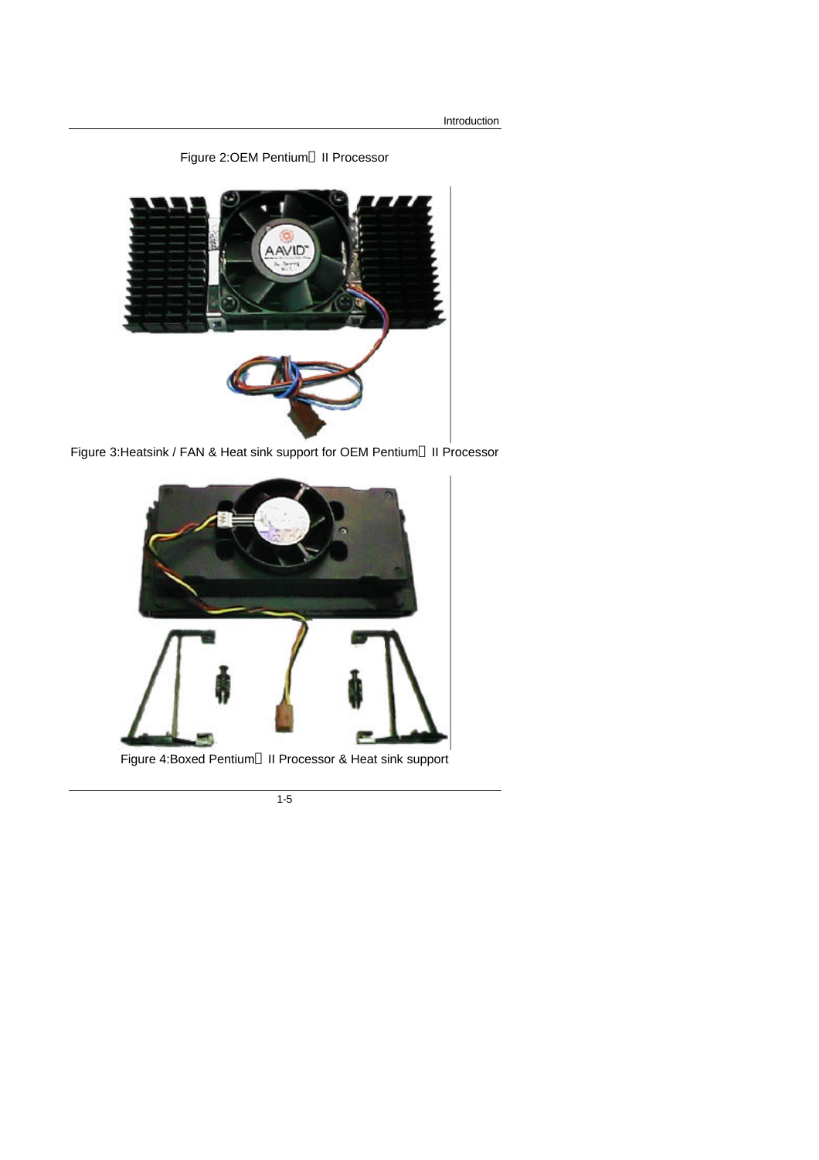Introduction

Figure 2:OEM Pentium<sup>®</sup> II Processor



Figure 3: Heatsink / FAN & Heat sink support for OEM Pentium<sup>®</sup> II Processor



Figure 4: Boxed Pentium<sup>®</sup> II Processor & Heat sink support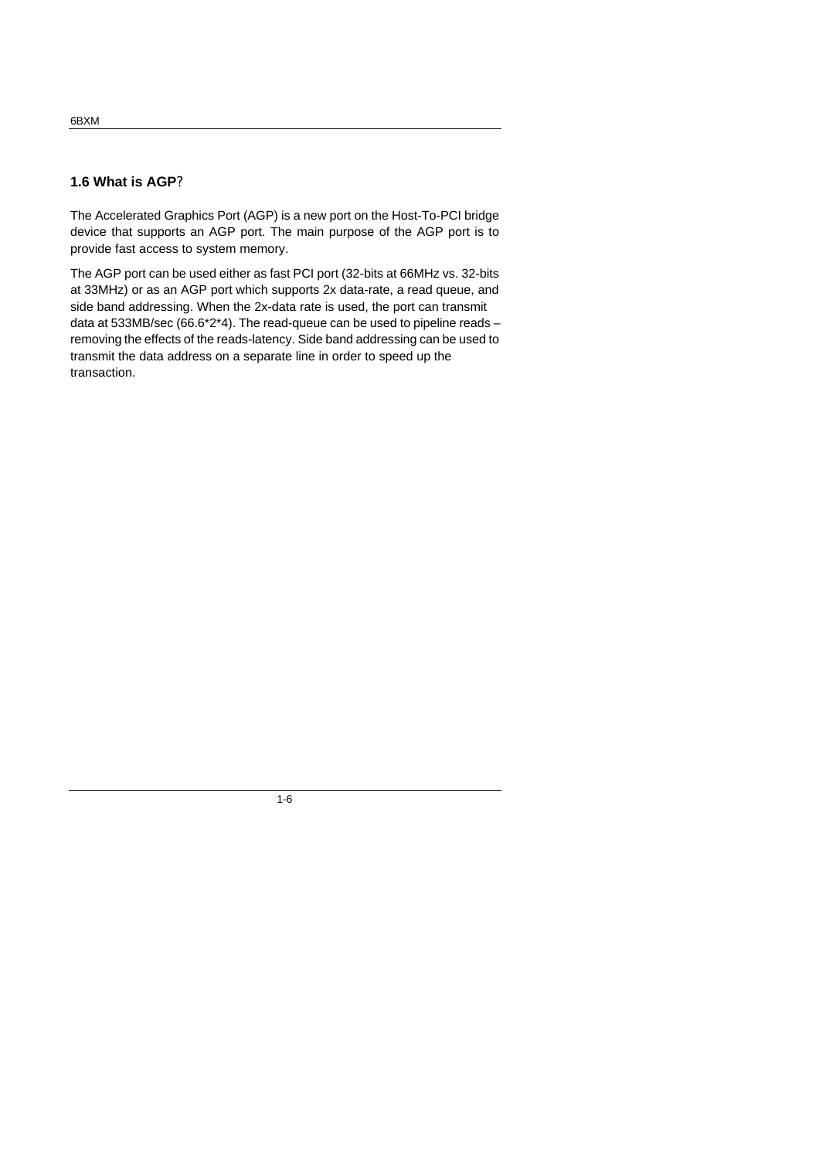## **1.6 What is AGP?**

The Accelerated Graphics Port (AGP) is a new port on the Host-To-PCI bridge device that supports an AGP port. The main purpose of the AGP port is to provide fast access to system memory.

The AGP port can be used either as fast PCI port (32-bits at 66MHz vs. 32-bits at 33MHz) or as an AGP port which supports 2x data-rate, a read queue, and side band addressing. When the 2x-data rate is used, the port can transmit data at 533MB/sec (66.6\*2\*4). The read-queue can be used to pipeline reads – removing the effects of the reads-latency. Side band addressing can be used to transmit the data address on a separate line in order to speed up the transaction.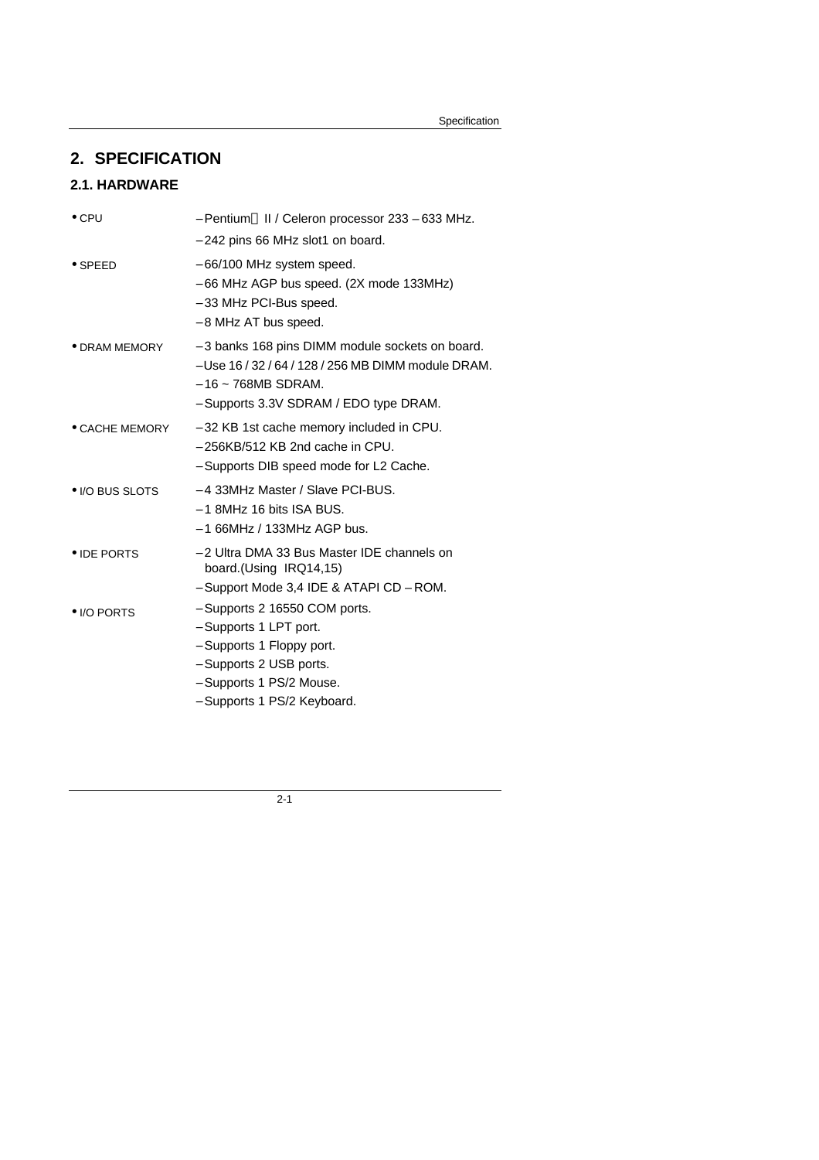# **2. SPECIFICATION**

# **2.1. HARDWARE**

| $\bullet$ CPU          | - Pentium® II / Celeron processor 233 - 633 MHz.                                                                                                                             |
|------------------------|------------------------------------------------------------------------------------------------------------------------------------------------------------------------------|
|                        | - 242 pins 66 MHz slot1 on board.                                                                                                                                            |
| $\bullet$ SPEED        | - 66/100 MHz system speed.<br>$-66$ MHz AGP bus speed. (2X mode 133MHz)<br>- 33 MHz PCI-Bus speed.<br>- 8 MHz AT bus speed.                                                  |
| $\bullet$ DRAM MEMORY  | - 3 banks 168 pins DIMM module sockets on board.<br>- Use 16 / 32 / 64 / 128 / 256 MB DIMM module DRAM.<br>$-16 \sim 768MB$ SDRAM.<br>- Supports 3.3V SDRAM / EDO type DRAM. |
| $\bullet$ CACHE MEMORY | - 32 KB 1st cache memory included in CPU.<br>- 256KB/512 KB 2nd cache in CPU.<br>- Supports DIB speed mode for L2 Cache.                                                     |
| • I/O BUS SLOTS        | - 4 33MHz Master / Slave PCI-BUS.<br>$-1$ 8MHz 16 bits ISA BUS.<br>$-166$ MHz / 133MHz AGP bus.                                                                              |
| • IDE PORTS            | - 2 Ultra DMA 33 Bus Master IDE channels on<br>board.(Using IRQ14,15)<br>- Support Mode 3.4 IDE & ATAPI CD - ROM.                                                            |
| • I/O PORTS            | - Supports 2 16550 COM ports.<br>- Supports 1 LPT port.<br>- Supports 1 Floppy port.<br>- Supports 2 USB ports.<br>- Supports 1 PS/2 Mouse.<br>- Supports 1 PS/2 Keyboard.   |
|                        |                                                                                                                                                                              |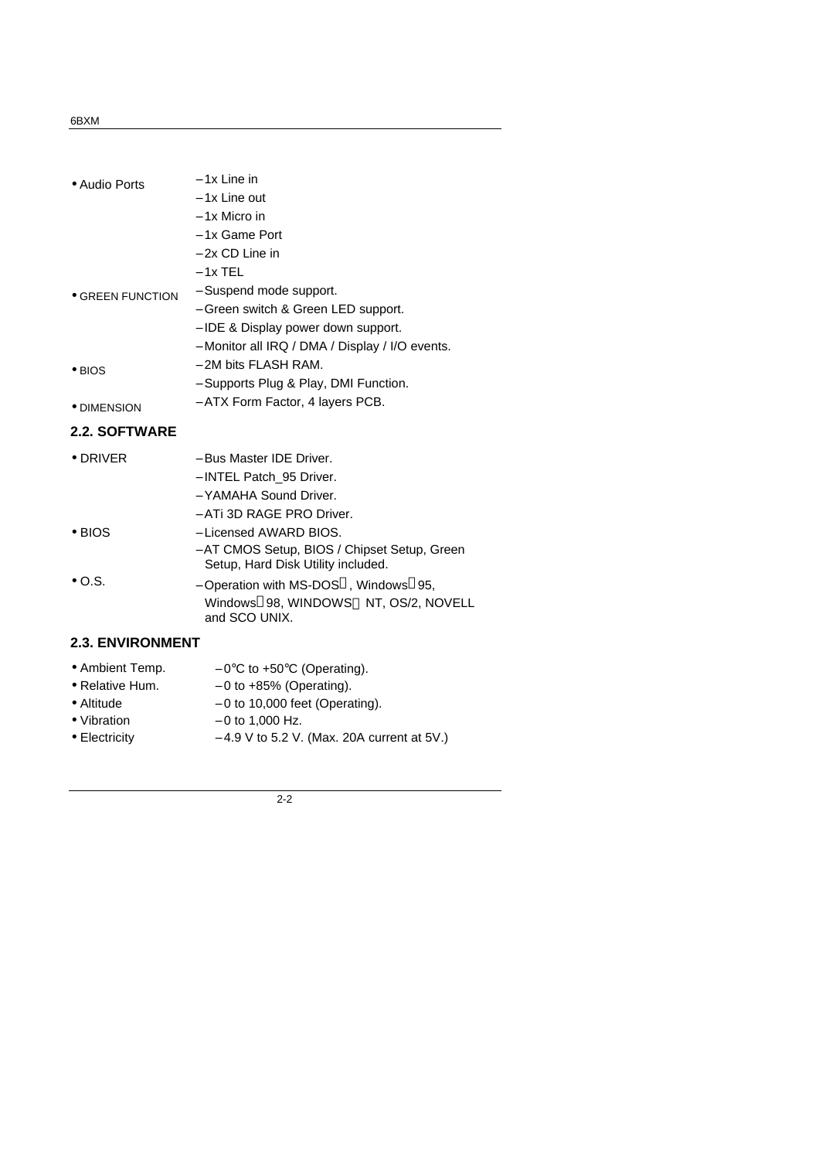### 6BXM

| • Audio Ports           | $-1x$ Line in                                                                      |
|-------------------------|------------------------------------------------------------------------------------|
|                         | - 1x Line out                                                                      |
|                         | - 1x Micro in                                                                      |
|                         | - 1x Game Port                                                                     |
|                         | - 2x CD Line in                                                                    |
|                         | $-1x$ TEL                                                                          |
| • GREEN FUNCTION        | - Suspend mode support.                                                            |
|                         | - Green switch & Green LED support.                                                |
|                         | – IDE & Display power down support.                                                |
|                         | - Monitor all IRQ / DMA / Display / I/O events.                                    |
| $\bullet$ BIOS          | - 2M bits FLASH RAM.                                                               |
|                         | - Supports Plug & Play, DMI Function.                                              |
| • DIMENSION             | - ATX Form Factor, 4 layers PCB.                                                   |
| <b>2.2. SOFTWARE</b>    |                                                                                    |
| $\bullet$ DRIVER        | - Bus Master IDE Driver.                                                           |
|                         | - INTEL Patch 95 Driver.                                                           |
|                         | - YAMAHA Sound Driver.                                                             |
|                         | - ATi 3D RAGE PRO Driver.                                                          |
| $\bullet$ BIOS          | - Licensed AWARD BIOS.                                                             |
|                         | - AT CMOS Setup, BIOS / Chipset Setup, Green<br>Setup, Hard Disk Utility included. |
| $\bullet$ O.S.          | - Operation with MS-DOS <sup>®</sup> , Windows <sup>®</sup> 95,                    |
|                         | Windows®98, WINDOWS™ NT, OS/2, NOVELL<br>and SCO UNIX.                             |
| <b>2.3. ENVIRONMENT</b> |                                                                                    |
| • Ambient Temp.         | $-0$ °C to +50°C (Operating).                                                      |
| • Relative Hum.         | $-0$ to $+85%$ (Operating).                                                        |
| • Altitude              | $-0$ to 10,000 feet (Operating).                                                   |

- 
- 
- 
- Vibration 0 to 1,000 Hz.<br>• Electricity 4.9 V to 5.2 V. − 4.9 V to 5.2 V. (Max. 20A current at 5V.)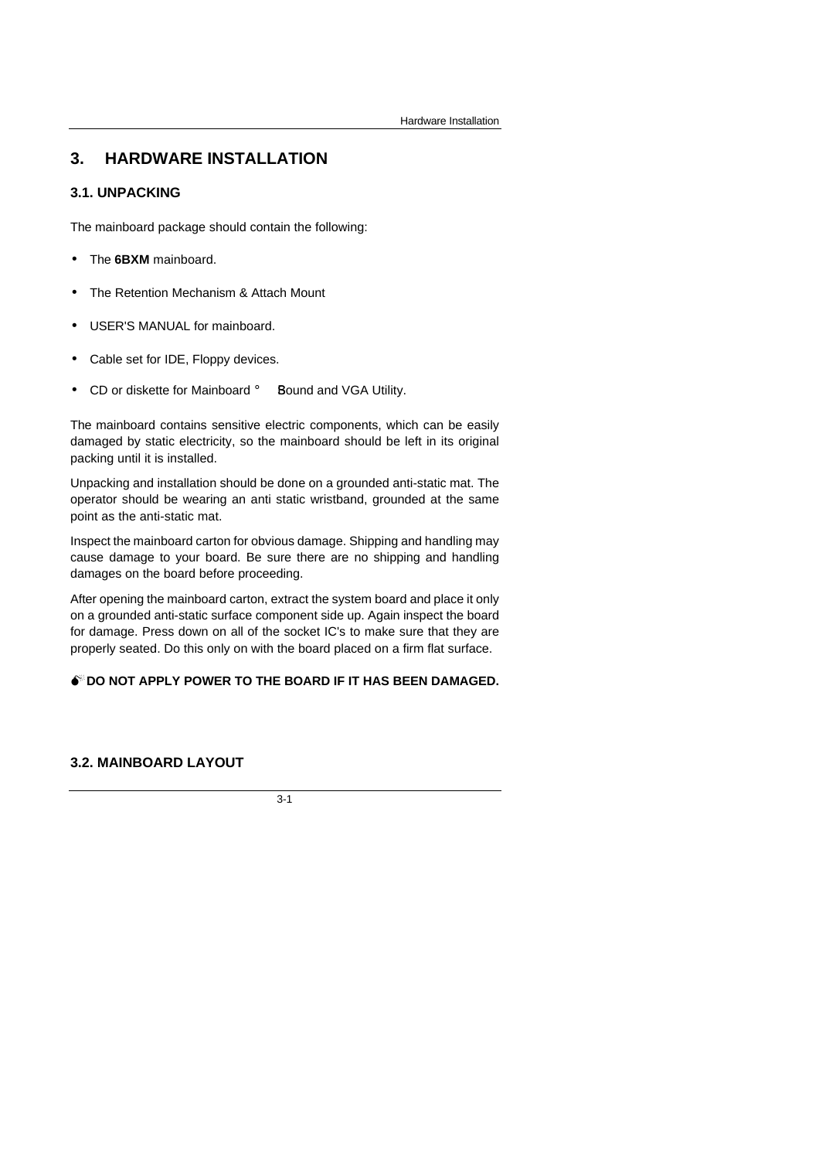# **3. HARDWARE INSTALLATION**

## **3.1. UNPACKING**

The mainboard package should contain the following:

- The **6BXM** mainboard.
- The Retention Mechanism & Attach Mount
- USER'S MANUAL for mainboard.
- Cable set for IDE, Floppy devices.
- CD or diskette for Mainboard **i** Bound and VGA Utility.

The mainboard contains sensitive electric components, which can be easily damaged by static electricity, so the mainboard should be left in its original packing until it is installed.

Unpacking and installation should be done on a grounded anti-static mat. The operator should be wearing an anti static wristband, grounded at the same point as the anti-static mat.

Inspect the mainboard carton for obvious damage. Shipping and handling may cause damage to your board. Be sure there are no shipping and handling damages on the board before proceeding.

After opening the mainboard carton, extract the system board and place it only on a grounded anti-static surface component side up. Again inspect the board for damage. Press down on all of the socket IC's to make sure that they are properly seated. Do this only on with the board placed on a firm flat surface.

#### **M<sup>\*</sup>DO NOT APPLY POWER TO THE BOARD IF IT HAS BEEN DAMAGED.**

## **3.2. MAINBOARD LAYOUT**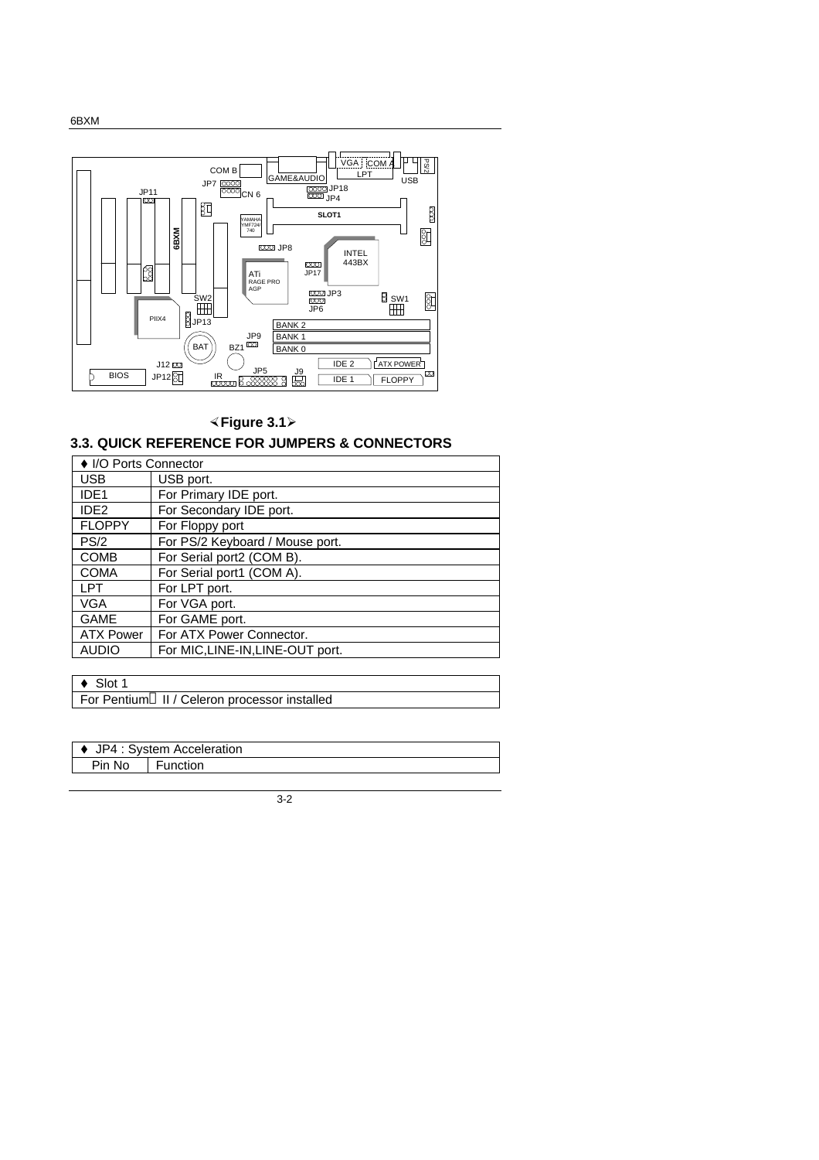



# **×Figure 3.1ÿ**

# **3.3. QUICK REFERENCE FOR JUMPERS & CONNECTORS**

| ♦ I/O Ports Connector |                                  |  |
|-----------------------|----------------------------------|--|
| <b>USB</b>            | USB port.                        |  |
| IDE <sub>1</sub>      | For Primary IDE port.            |  |
| IDE <sub>2</sub>      | For Secondary IDE port.          |  |
| <b>FLOPPY</b>         | For Floppy port                  |  |
| PS/2                  | For PS/2 Keyboard / Mouse port.  |  |
| <b>COMB</b>           | For Serial port2 (COM B).        |  |
| <b>COMA</b>           | For Serial port1 (COM A).        |  |
| <b>LPT</b>            | For LPT port.                    |  |
| <b>VGA</b>            | For VGA port.                    |  |
| <b>GAME</b>           | For GAME port.                   |  |
| <b>ATX Power</b>      | For ATX Power Connector.         |  |
| <b>AUDIO</b>          | For MIC, LINE-IN, LINE-OUT port. |  |

 $\triangleleft$  Slot 1

For Pentium<sup>®</sup> II / Celeron processor installed

| ♦ JP4 : System Acceleration |          |  |
|-----------------------------|----------|--|
| Pin No                      | Function |  |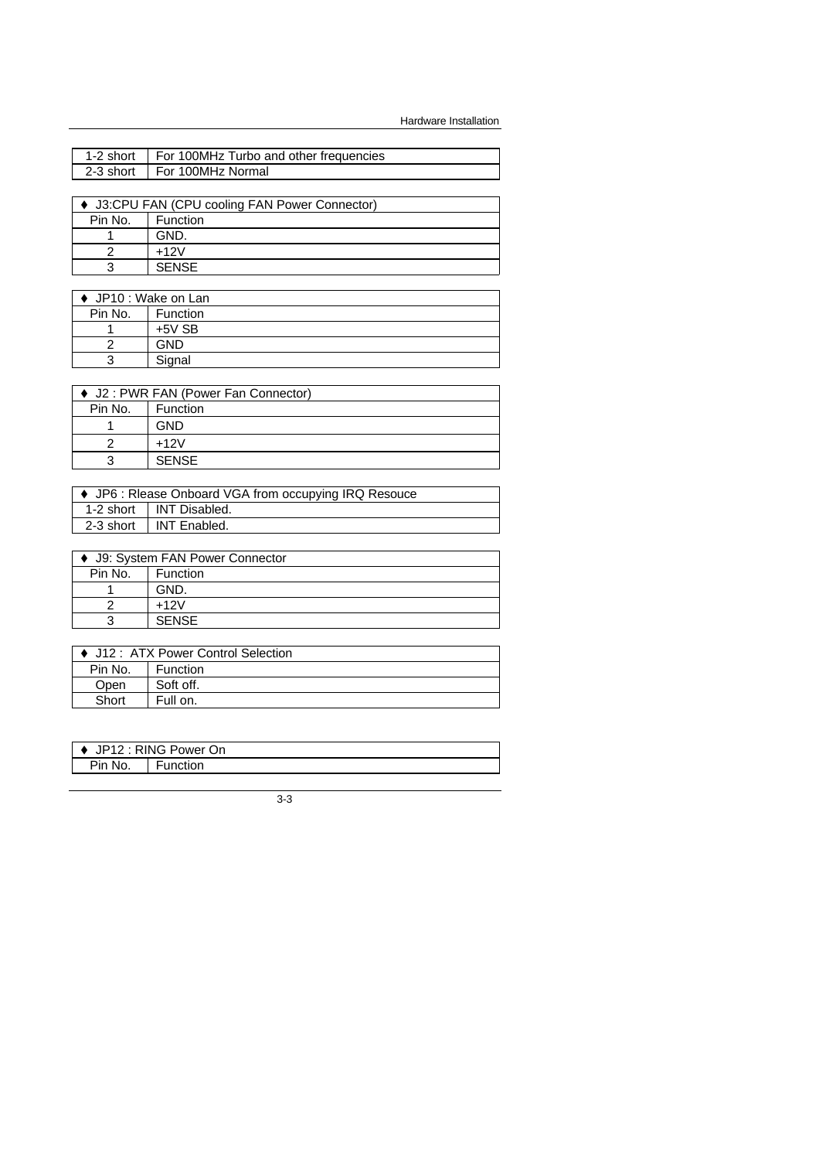| 1-2 short                                      | For 100MHz Turbo and other frequencies |  |
|------------------------------------------------|----------------------------------------|--|
| 2-3 short                                      | For 100MHz Normal                      |  |
|                                                |                                        |  |
| ♦ J3:CPU FAN (CPU cooling FAN Power Connector) |                                        |  |
| Pin No.<br>Function                            |                                        |  |
|                                                | GND.                                   |  |
|                                                | $+12V$                                 |  |

|         | ♦ JP10 : Wake on Lan |  |
|---------|----------------------|--|
| Pin No. | <b>Function</b>      |  |
|         | $+5V$ SB             |  |
|         | GND                  |  |
| 3       | Signal               |  |

3 SENSE

| ♦ J2: PWR FAN (Power Fan Connector) |              |  |
|-------------------------------------|--------------|--|
| Pin No.                             | Function     |  |
|                                     | GND          |  |
|                                     | $+12V$       |  |
| ว                                   | <b>SENSE</b> |  |

| • JP6 : Riease Onboard VGA from occupying IRQ Resouce |                           |  |
|-------------------------------------------------------|---------------------------|--|
|                                                       | 1-2 short   INT Disabled. |  |
|                                                       | 2-3 short I INT Enabled.  |  |

| ♦ J9: System FAN Power Connector |              |
|----------------------------------|--------------|
| Pin No.                          | Function     |
|                                  | GND.         |
|                                  | $+12V$       |
| 3                                | <b>SENSE</b> |
|                                  |              |

| ● J12: ATX Power Control Selection |           |
|------------------------------------|-----------|
| Pin No.                            | Function  |
| Open                               | Soft off. |
| Short                              | Full on.  |

| I ♦ JP12 : RING Power On |         |
|--------------------------|---------|
| Pin No.                  | unction |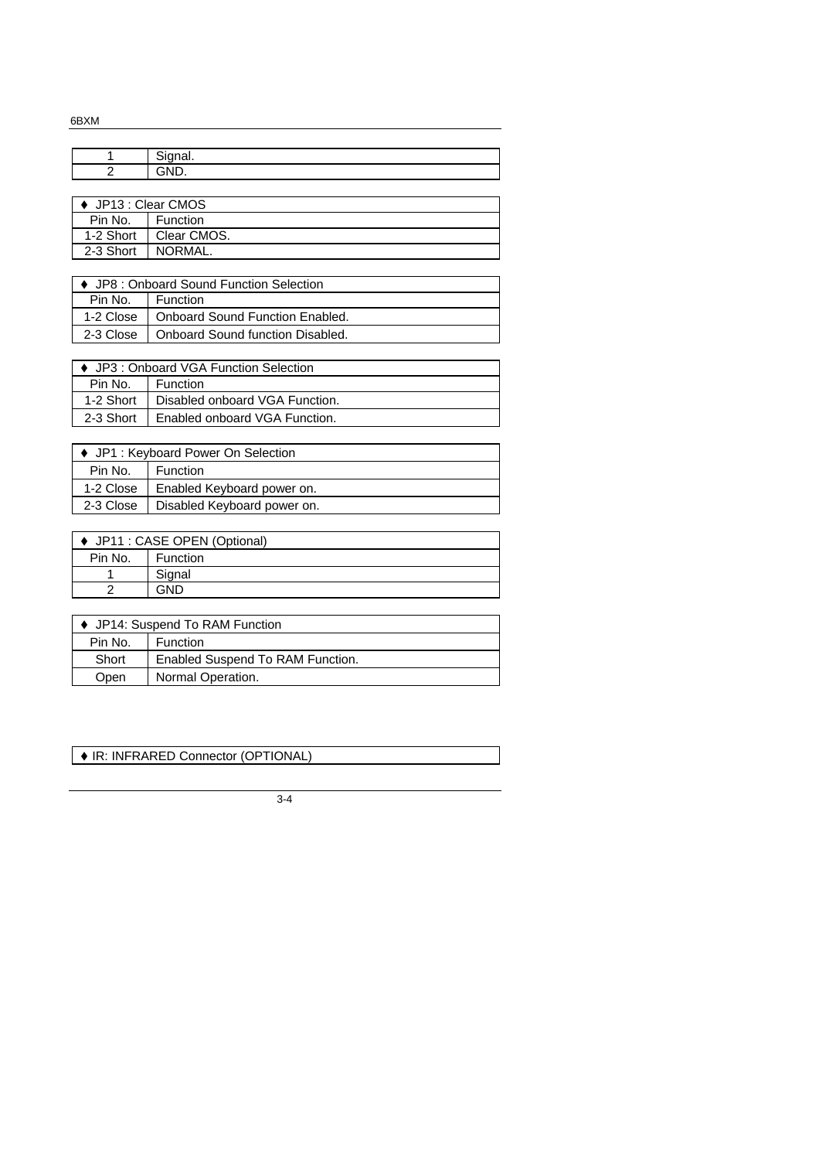6BXM

| C <sub>2</sub><br>uyuai. |
|--------------------------|
| $\sim$                   |
|                          |

| $\leftrightarrow$ JP13 : Clear CMOS |                 |
|-------------------------------------|-----------------|
| Pin No.                             | <b>Function</b> |
| 1-2 Short                           | Clear CMOS.     |
| 2-3 Short                           | NORMAL.         |

| ♦ JP8 : Onboard Sound Function Selection |                                              |
|------------------------------------------|----------------------------------------------|
| Pin No.                                  | Function                                     |
|                                          | 1-2 Close   Onboard Sound Function Enabled.  |
|                                          | 2-3 Close   Onboard Sound function Disabled. |

| ♦ JP3 : Onboard VGA Function Selection |                                |
|----------------------------------------|--------------------------------|
| Pin No.                                | <b>Function</b>                |
| 1-2 Short                              | Disabled onboard VGA Function. |
| 2-3 Short                              | Enabled onboard VGA Function.  |
|                                        |                                |

| ♦ JP1 : Keyboard Power On Selection |                             |
|-------------------------------------|-----------------------------|
| Pin No.                             | <b>Function</b>             |
| 1-2 Close                           | Enabled Keyboard power on.  |
| 2-3 Close                           | Disabled Keyboard power on. |

| ♦ JP11 : CASE OPEN (Optional) |          |
|-------------------------------|----------|
| Pin No.                       | Function |
|                               | Signal   |
|                               | GND      |
|                               |          |

| ♦ JP14: Suspend To RAM Function |                                  |
|---------------------------------|----------------------------------|
| Pin No.                         | <b>Function</b>                  |
| Short                           | Enabled Suspend To RAM Function. |
| Open                            | Normal Operation.                |

**IR: INFRARED Connector (OPTIONAL)**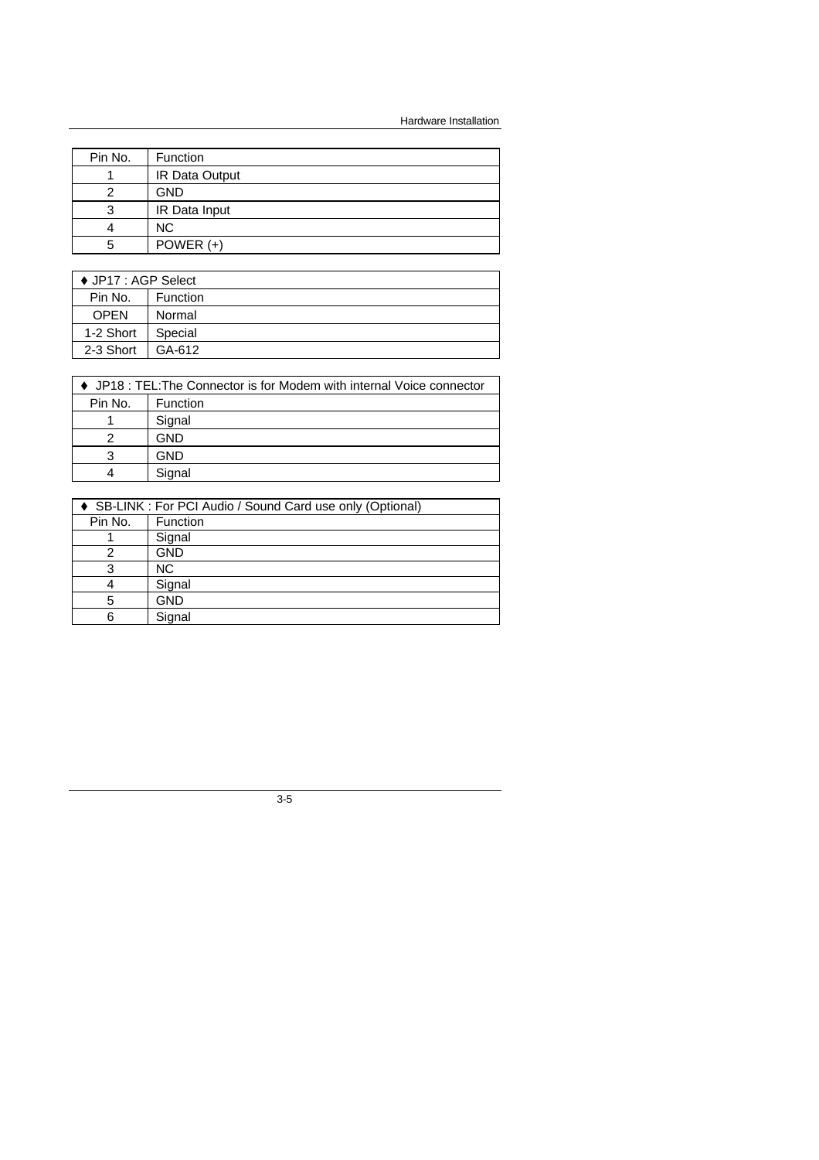Hardware Installation

| Pin No. | <b>Function</b> |
|---------|-----------------|
|         | IR Data Output  |
| 2       | <b>GND</b>      |
| 3       | IR Data Input   |
|         | <b>NC</b>       |
| 5       | POWER $(+)$     |

| ♦ JP17 : AGP Select |          |
|---------------------|----------|
| Pin No.             | Function |
| <b>OPEN</b>         | Normal   |
| 1-2 Short           | Special  |
| 2-3 Short           | GA-612   |

| ♦ JP18 : TEL: The Connector is for Modem with internal Voice connector |          |  |  |
|------------------------------------------------------------------------|----------|--|--|
| Pin No.                                                                | Function |  |  |
|                                                                        | Signal   |  |  |
| 2                                                                      | GND      |  |  |
| 3                                                                      | GND      |  |  |
| Δ                                                                      | Signal   |  |  |
|                                                                        |          |  |  |

| ♦ SB-LINK : For PCI Audio / Sound Card use only (Optional) |            |  |  |
|------------------------------------------------------------|------------|--|--|
| Pin No.                                                    | Function   |  |  |
|                                                            | Signal     |  |  |
|                                                            | <b>GND</b> |  |  |
| 3                                                          | NC.        |  |  |
|                                                            | Signal     |  |  |
| 5                                                          | <b>GND</b> |  |  |
| 6                                                          | Signal     |  |  |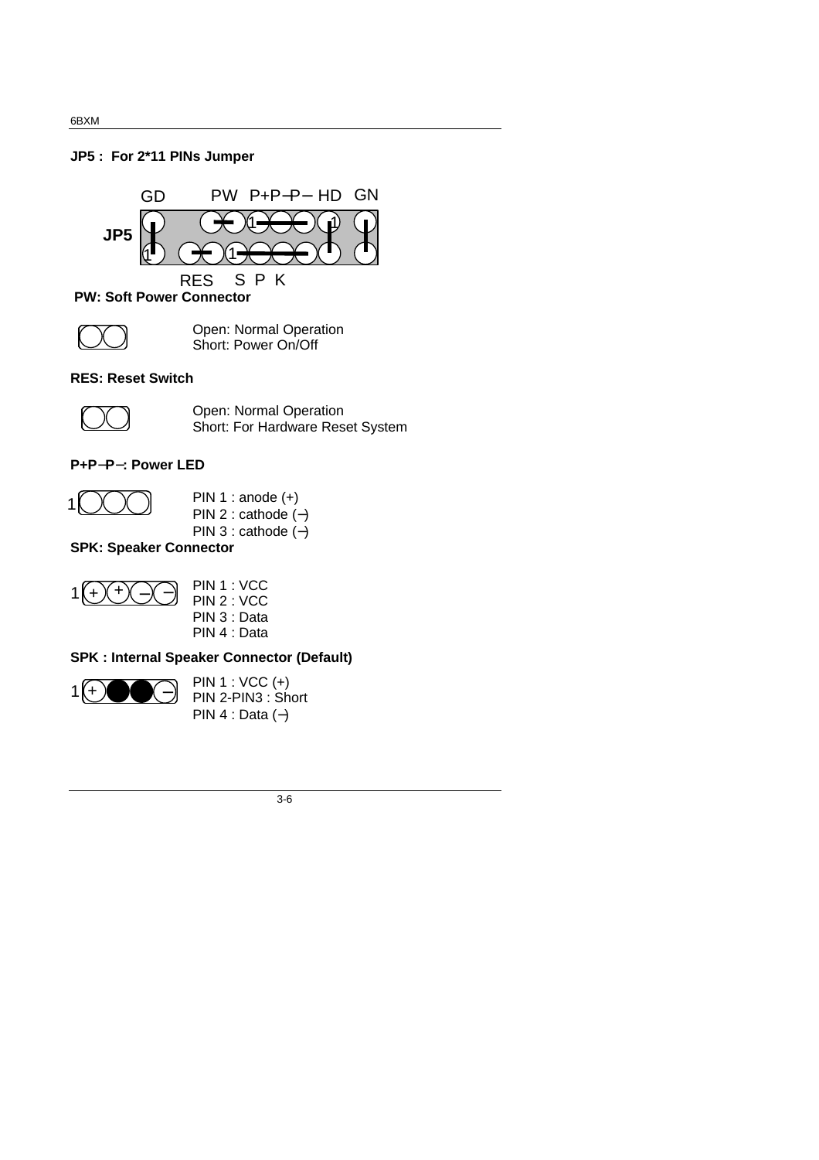### **JP5 : For 2\*11 PINs Jumper**



 **PW: Soft Power Connector**



Open: Normal Operation Short: Power On/Off

### **RES: Reset Switch**



Open: Normal Operation Short: For Hardware Reset System

### **P+P- P- : Power LED**



PIN 1 : anode (+) PIN 2 : cathode (−) PIN 3 : cathode (−)

## **SPK: Speaker Connector**



|  | PIN 1 : VCC  |
|--|--------------|
|  | PIN 2 : VCC  |
|  | PIN 3 : Data |
|  | PIN 4 : Data |

# **SPK : Internal Speaker Connector (Default)**



PIN 1 : VCC (+) PIN 2-PIN3 : Short PIN 4 : Data (−)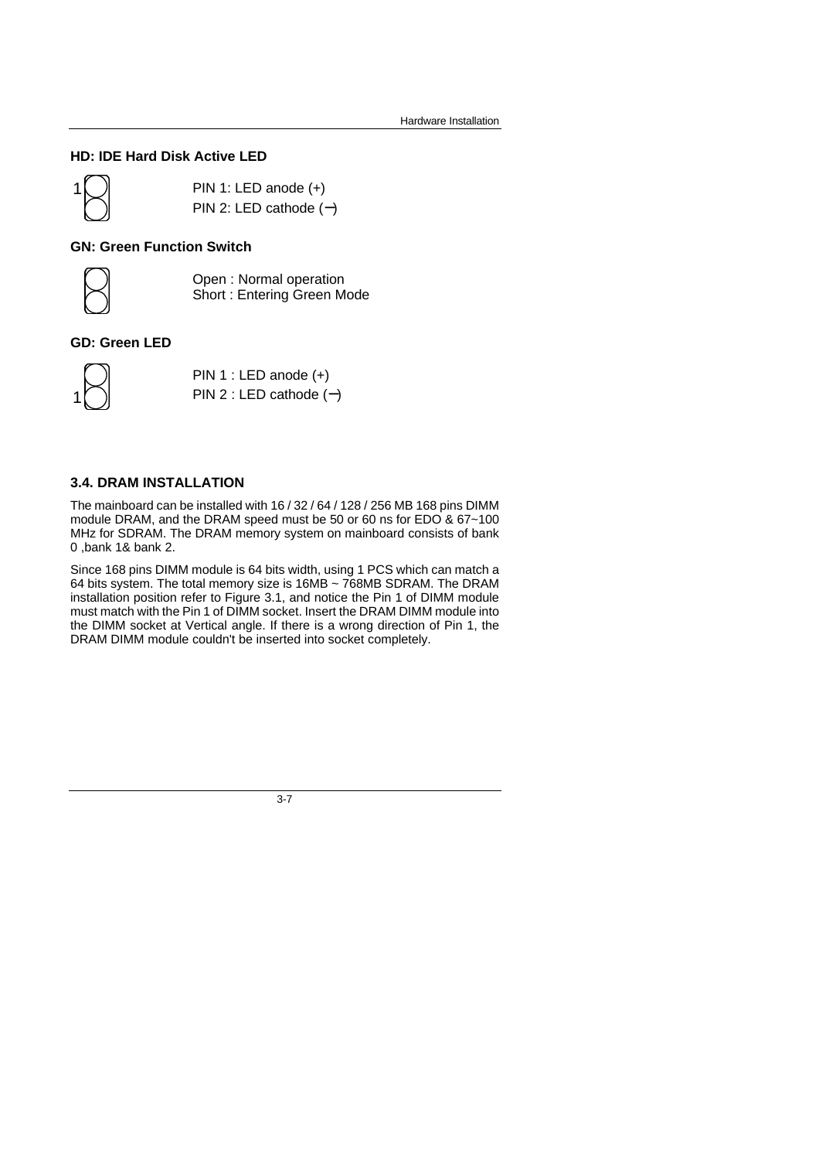## **HD: IDE Hard Disk Active LED**



PIN 1: LED anode (+) PIN 2: LED cathode (**-** )

#### **GN: Green Function Switch**



Open : Normal operation Short : Entering Green Mode

### **GD: Green LED**



PIN 1 : LED anode (+) PIN 2 : LED cathode (**-** )

## **3.4. DRAM INSTALLATION**

The mainboard can be installed with 16 / 32 / 64 / 128 / 256 MB 168 pins DIMM module DRAM, and the DRAM speed must be 50 or 60 ns for EDO & 67~100 MHz for SDRAM. The DRAM memory system on mainboard consists of bank 0 ,bank 1& bank 2.

Since 168 pins DIMM module is 64 bits width, using 1 PCS which can match a 64 bits system. The total memory size is 16MB ~ 768MB SDRAM. The DRAM installation position refer to Figure 3.1, and notice the Pin 1 of DIMM module must match with the Pin 1 of DIMM socket. Insert the DRAM DIMM module into the DIMM socket at Vertical angle. If there is a wrong direction of Pin 1, the DRAM DIMM module couldn't be inserted into socket completely.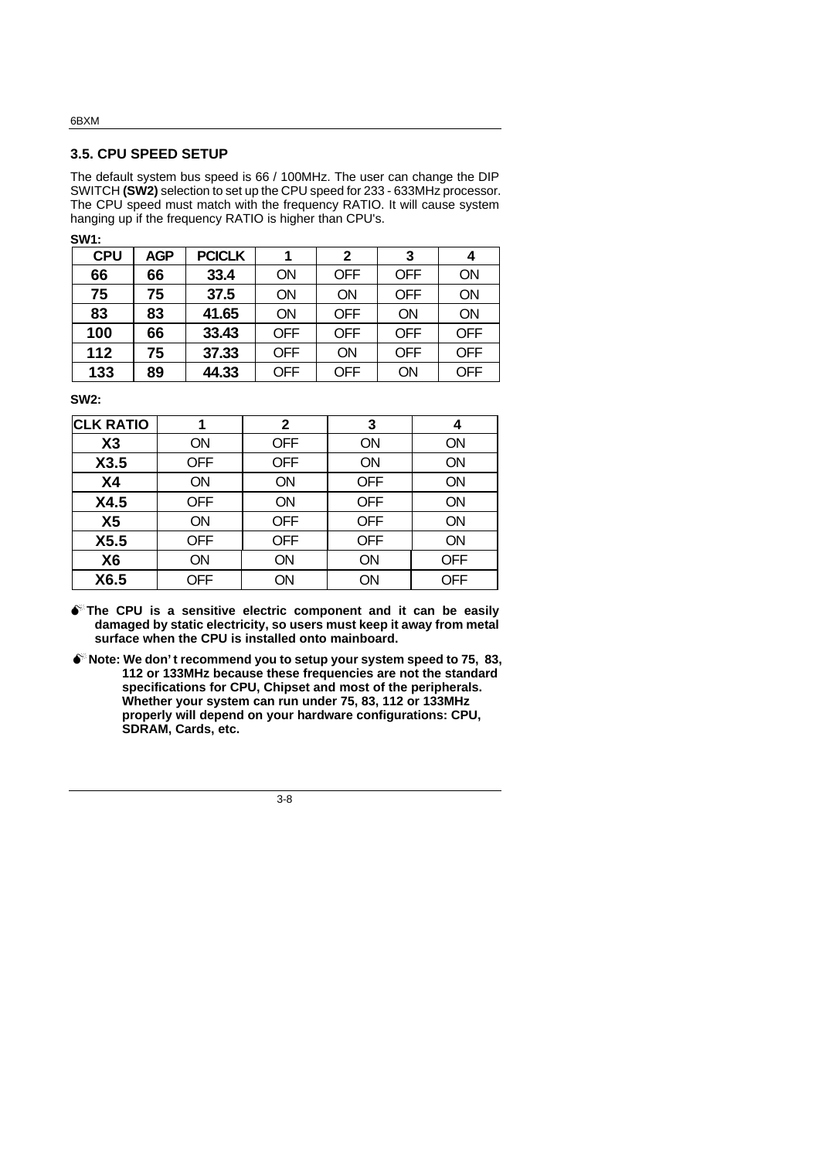#### **3.5. CPU SPEED SETUP**

The default system bus speed is 66 / 100MHz. The user can change the DIP SWITCH **(SW2)** selection to set up the CPU speed for 233 - 633MHz processor. The CPU speed must match with the frequency RATIO. It will cause system hanging up if the frequency RATIO is higher than CPU's.

| ۰,<br>×<br>۰. |  |  |
|---------------|--|--|

| <b>CPU</b> | <b>AGP</b> | <b>PCICLK</b> |            | 2          | 3          | 4          |
|------------|------------|---------------|------------|------------|------------|------------|
| 66         | 66         | 33.4          | ON         | <b>OFF</b> | <b>OFF</b> | ON         |
| 75         | 75         | 37.5          | ON         | ON         | <b>OFF</b> | <b>ON</b>  |
| 83         | 83         | 41.65         | ON         | <b>OFF</b> | ON         | ON         |
| 100        | 66         | 33.43         | <b>OFF</b> | <b>OFF</b> | <b>OFF</b> | <b>OFF</b> |
| 112        | 75         | 37.33         | <b>OFF</b> | ON         | <b>OFF</b> | <b>OFF</b> |
| 133        | 89         | 44.33         | <b>OFF</b> | <b>OFF</b> | ON         | <b>OFF</b> |

**SW2:**

| <b>CLK RATIO</b> |            | 2          | 3          | 4          |
|------------------|------------|------------|------------|------------|
| X3               | <b>ON</b>  | <b>OFF</b> | ON         | ON         |
| X3.5             | <b>OFF</b> | <b>OFF</b> | ON         | ON         |
| <b>X4</b>        | ON         | ON         | <b>OFF</b> | ON         |
| X4.5             | <b>OFF</b> | <b>ON</b>  | <b>OFF</b> | ON         |
| X <sub>5</sub>   | <b>ON</b>  | <b>OFF</b> | <b>OFF</b> | <b>ON</b>  |
| X5.5             | <b>OFF</b> | <b>OFF</b> | <b>OFF</b> | <b>ON</b>  |
| X <sub>6</sub>   | ON         | <b>ON</b>  | ON         | <b>OFF</b> |
| X6.5             | <b>OFF</b> | ON         | ON         | <b>OFF</b> |

 $\bullet$ <sup>\*</sup>The CPU is a sensitive electric component and it can be easily **damaged by static electricity, so users must keep it away from metal surface when the CPU is installed onto mainboard.**

**MNote: We don't recommend you to setup your system speed to 75, 83, 112 or 133MHz because these frequencies are not the standard specifications for CPU, Chipset and most of the peripherals. Whether your system can run under 75, 83, 112 or 133MHz properly will depend on your hardware configurations: CPU, SDRAM, Cards, etc.**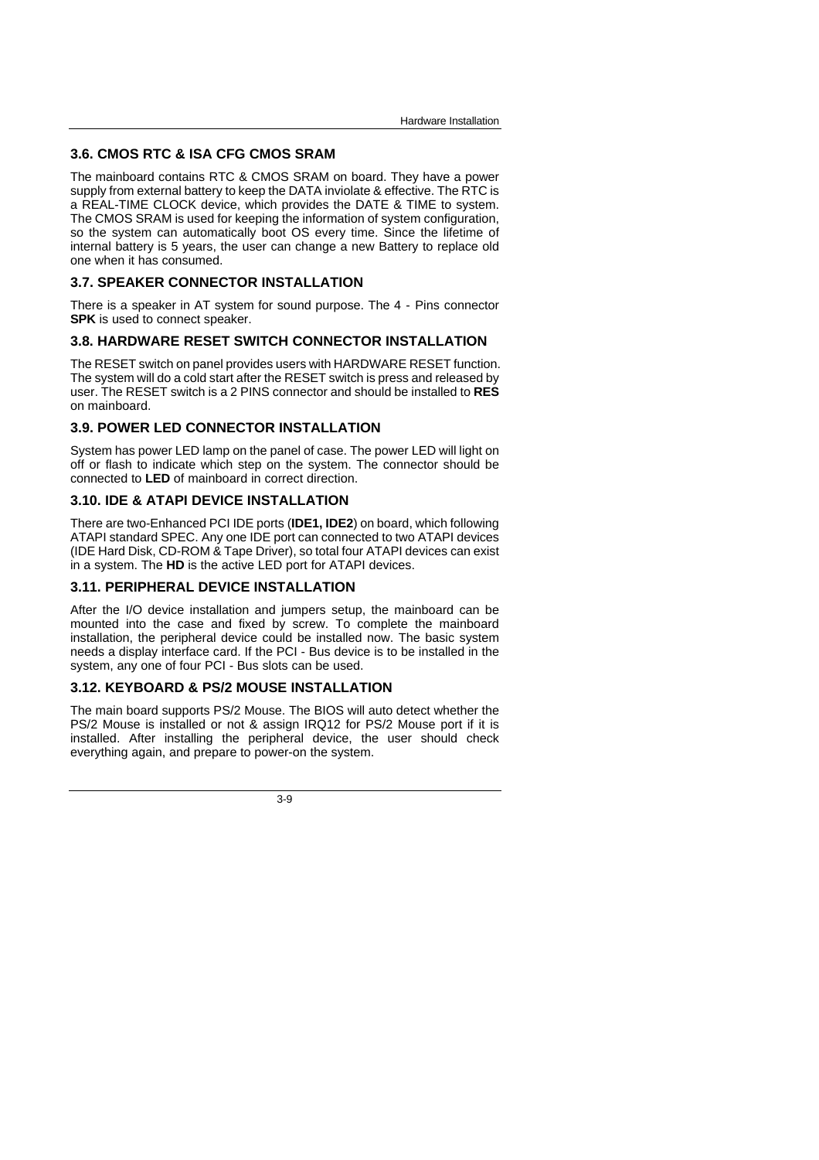### **3.6. CMOS RTC & ISA CFG CMOS SRAM**

The mainboard contains RTC & CMOS SRAM on board. They have a power supply from external battery to keep the DATA inviolate & effective. The RTC is a REAL-TIME CLOCK device, which provides the DATE & TIME to system. The CMOS SRAM is used for keeping the information of system configuration, so the system can automatically boot OS every time. Since the lifetime of internal battery is 5 years, the user can change a new Battery to replace old one when it has consumed.

#### **3.7. SPEAKER CONNECTOR INSTALLATION**

There is a speaker in AT system for sound purpose. The 4 - Pins connector **SPK** is used to connect speaker.

#### **3.8. HARDWARE RESET SWITCH CONNECTOR INSTALLATION**

The RESET switch on panel provides users with HARDWARE RESET function. The system will do a cold start after the RESET switch is press and released by user. The RESET switch is a 2 PINS connector and should be installed to **RES** on mainboard.

#### **3.9. POWER LED CONNECTOR INSTALLATION**

System has power LED lamp on the panel of case. The power LED will light on off or flash to indicate which step on the system. The connector should be connected to **LED** of mainboard in correct direction.

#### **3.10. IDE & ATAPI DEVICE INSTALLATION**

There are two-Enhanced PCI IDE ports (**IDE1, IDE2**) on board, which following ATAPI standard SPEC. Any one IDE port can connected to two ATAPI devices (IDE Hard Disk, CD-ROM & Tape Driver), so total four ATAPI devices can exist in a system. The **HD** is the active LED port for ATAPI devices.

#### **3.11. PERIPHERAL DEVICE INSTALLATION**

After the I/O device installation and jumpers setup, the mainboard can be mounted into the case and fixed by screw. To complete the mainboard installation, the peripheral device could be installed now. The basic system needs a display interface card. If the PCI - Bus device is to be installed in the system, any one of four PCI - Bus slots can be used.

#### **3.12. KEYBOARD & PS/2 MOUSE INSTALLATION**

The main board supports PS/2 Mouse. The BIOS will auto detect whether the PS/2 Mouse is installed or not & assign IRQ12 for PS/2 Mouse port if it is installed. After installing the peripheral device, the user should check everything again, and prepare to power-on the system.